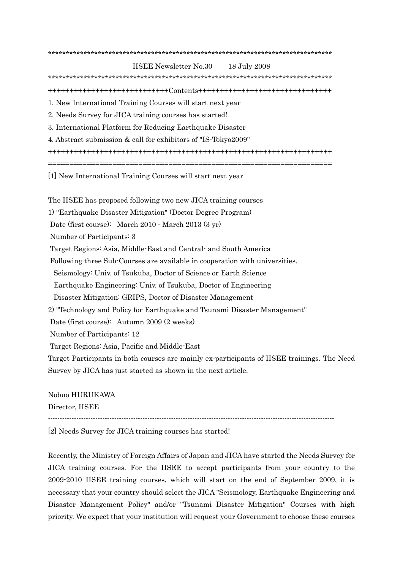\*\*\*\*\*\*\*\*\*\*\*\*\*\*\*\*\*\*\*\*\*\*\*\*\*\*\*\*\*\*\*\*\*\*\*\*\*\*\*\*\*\*\*\*\*\*\*\*\*\*\*\*\*\*\*\*\*\*\*\*\*\*\*\*\*\*\*\*\*\*\*\*\*\*\*\*\*\*\*\*

IISEE Newsletter No.30 18 July 2008 \*\*\*\*\*\*\*\*\*\*\*\*\*\*\*\*\*\*\*\*\*\*\*\*\*\*\*\*\*\*\*\*\*\*\*\*\*\*\*\*\*\*\*\*\*\*\*\*\*\*\*\*\*\*\*\*\*\*\*\*\*\*\*\*\*\*\*\*\*\*\*\*\*\*\*\*\*\*\*\* ++++++++++++++++++++++++++++Contents+++++++++++++++++++++++++++++++ 1. New International Training Courses will start next year 2. Needs Survey for JICA training courses has started! 3. International Platform for Reducing Earthquake Disaster 4. Abstract submission & call for exhibitors of "IS-Tokyo2009" ++++++++++++++++++++++++++++++++++++++++++++++++++++++++++++++++++ ================================================================== [1] New International Training Courses will start next year

The IISEE has proposed following two new JICA training courses

1) "Earthquake Disaster Mitigation" (Doctor Degree Program)

Date (first course): March 2010 - March 2013 (3 yr)

Number of Participants: 3

Target Regions: Asia, Middle-East and Central- and South America

Following three Sub-Courses are available in cooperation with universities.

Seismology: Univ. of Tsukuba, Doctor of Science or Earth Science

Earthquake Engineering: Univ. of Tsukuba, Doctor of Engineering

Disaster Mitigation: GRIPS, Doctor of Disaster Management

2) "Technology and Policy for Earthquake and Tsunami Disaster Management"

Date (first course): Autumn 2009 (2 weeks)

Number of Participants: 12

Target Regions: Asia, Pacific and Middle-East

Target Participants in both courses are mainly ex-participants of IISEE trainings. The Need Survey by JICA has just started as shown in the next article.

Nobuo HURUKAWA

Director, IISEE

 $-1.1\pm 0.1\pm 0.1\pm 0.1\pm 0.1\pm 0.1\pm 0.1\pm 0.1\pm 0.1\pm 0.1\pm 0.1\pm 0.1\pm 0.1\pm 0.1\pm 0.1\pm 0.1\pm 0.1\pm 0.1\pm 0.1\pm 0.1\pm 0.1\pm 0.1\pm 0.1\pm 0.1\pm 0.1\pm 0.1\pm 0.1\pm 0.1\pm 0.1\pm 0.1\pm 0.1\pm 0.1\pm 0.1\pm 0.1\pm 0.1\pm 0.1\pm 0.1$ 

[2] Needs Survey for JICA training courses has started!

Recently, the Ministry of Foreign Affairs of Japan and JICA have started the Needs Survey for JICA training courses. For the IISEE to accept participants from your country to the 2009-2010 IISEE training courses, which will start on the end of September 2009, it is necessary that your country should select the JICA "Seismology, Earthquake Engineering and Disaster Management Policy" and/or "Tsunami Disaster Mitigation" Courses with high priority. We expect that your institution will request your Government to choose these courses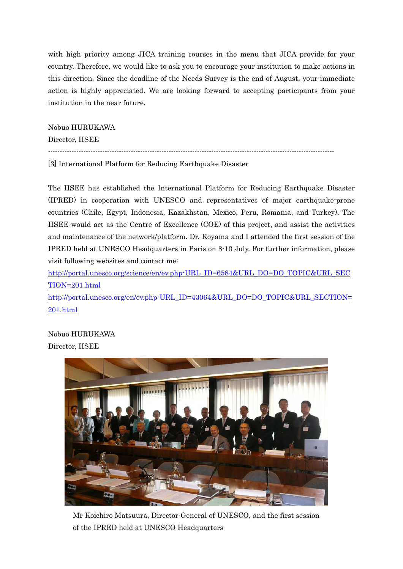with high priority among JICA training courses in the menu that JICA provide for your country. Therefore, we would like to ask you to encourage your institution to make actions in this direction. Since the deadline of the Needs Survey is the end of August, your immediate action is highly appreciated. We are looking forward to accepting participants from your institution in the near future.

Nobuo HURUKAWA

Director, IISEE

-------------------------------------------------------------------------------------------------------------------------

[3] International Platform for Reducing Earthquake Disaster

The IISEE has established the International Platform for Reducing Earthquake Disaster (IPRED) in cooperation with UNESCO and representatives of major earthquake-prone countries (Chile, Egypt, Indonesia, Kazakhstan, Mexico, Peru, Romania, and Turkey). The IISEE would act as the Centre of Excellence (COE) of this project, and assist the activities and maintenance of the network/platform. Dr. Koyama and I attended the first session of the IPRED held at UNESCO Headquarters in Paris on 8-10 July. For further information, please visit following websites and contact me:

http://portal.unesco.org/science/en/ev.php-URL\_ID=6584&URL\_DO=DO\_TOPIC&URL\_SEC TION=201.html

http://portal.unesco.org/en/ev.php-URL\_ID=43064&URL\_DO=DO\_TOPIC&URL\_SECTION= 201.html

Nobuo HURUKAWA Director, IISEE



Mr Koichiro Matsuura, Director-General of UNESCO, and the first session of the IPRED held at UNESCO Headquarters